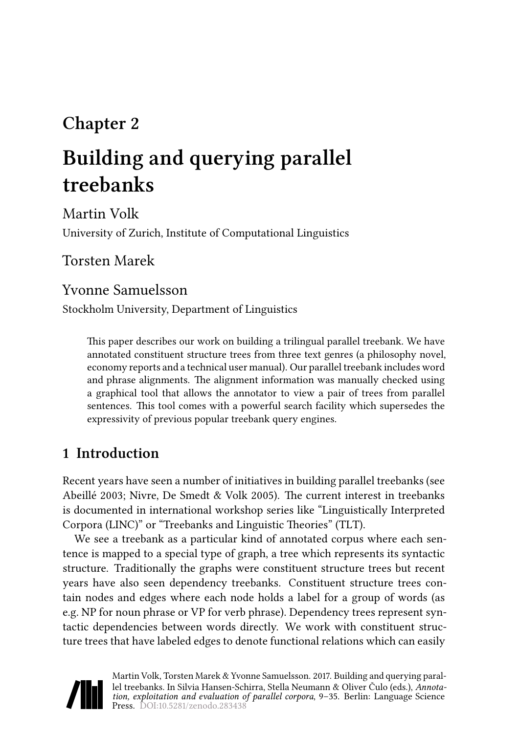# **Chapter 2**

# **Building and querying parallel treebanks**

Martin Volk University of Zurich, Institute of Computational Linguistics

Torsten Marek

### Yvonne Samuelsson

Stockholm University, Department of Linguistics

This paper describes our work on building a trilingual parallel treebank. We have annotated constituent structure trees from three text genres (a philosophy novel, economy reports and a technical user manual). Our parallel treebank includes word and phrase alignments. The alignment information was manually checked using a graphical tool that allows the annotator to view a pair of trees from parallel sentences. This tool comes with a powerful search facility which supersedes the expressivity of previous popular treebank query engines.

## **1 Introduction**

Recent years have seen a number of initiatives in building parallel treebanks (see [Abeillé 2003;](#page-22-0) [Nivre, De Smedt & Volk 2005\)](#page-24-0). The current interest in treebanks is documented in international workshop series like "Linguistically Interpreted Corpora (LINC)" or "Treebanks and Linguistic Theories" (TLT).

We see a treebank as a particular kind of annotated corpus where each sentence is mapped to a special type of graph, a tree which represents its syntactic structure. Traditionally the graphs were constituent structure trees but recent years have also seen dependency treebanks. Constituent structure trees contain nodes and edges where each node holds a label for a group of words (as e.g. NP for noun phrase or VP for verb phrase). Dependency trees represent syntactic dependencies between words directly. We work with constituent structure trees that have labeled edges to denote functional relations which can easily

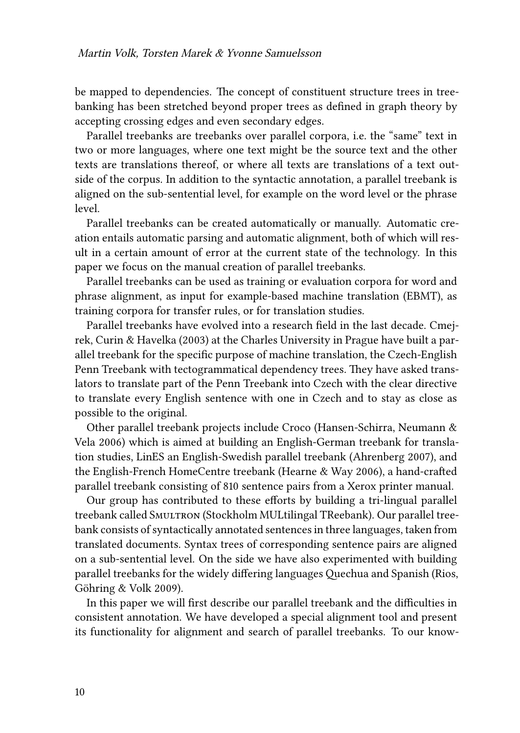be mapped to dependencies. The concept of constituent structure trees in treebanking has been stretched beyond proper trees as defined in graph theory by accepting crossing edges and even secondary edges.

Parallel treebanks are treebanks over parallel corpora, i.e. the "same" text in two or more languages, where one text might be the source text and the other texts are translations thereof, or where all texts are translations of a text outside of the corpus. In addition to the syntactic annotation, a parallel treebank is aligned on the sub-sentential level, for example on the word level or the phrase level.

Parallel treebanks can be created automatically or manually. Automatic creation entails automatic parsing and automatic alignment, both of which will result in a certain amount of error at the current state of the technology. In this paper we focus on the manual creation of parallel treebanks.

Parallel treebanks can be used as training or evaluation corpora for word and phrase alignment, as input for example-based machine translation (EBMT), as training corpora for transfer rules, or for translation studies.

Parallel treebanks have evolved into a research field in the last decade. [Cmej](#page-23-0)[rek, Curin & Havelka \(2003\)](#page-23-0) at the Charles University in Prague have built a parallel treebank for the specific purpose of machine translation, the Czech-English Penn Treebank with tectogrammatical dependency trees. They have asked translators to translate part of the Penn Treebank into Czech with the clear directive to translate every English sentence with one in Czech and to stay as close as possible to the original.

Other parallel treebank projects include Croco [\(Hansen-Schirra, Neumann &](#page-23-1) [Vela 2006\)](#page-23-1) which is aimed at building an English-German treebank for translation studies, LinES an English-Swedish parallel treebank [\(Ahrenberg 2007\)](#page-22-1), and the English-French HomeCentre treebank [\(Hearne & Way 2006](#page-23-2)), a hand-crafted parallel treebank consisting of 810 sentence pairs from a Xerox printer manual.

Our group has contributed to these efforts by building a tri-lingual parallel treebank called Smultron (Stockholm MULtilingal TReebank). Our parallel treebank consists of syntactically annotated sentences in three languages, taken from translated documents. Syntax trees of corresponding sentence pairs are aligned on a sub-sentential level. On the side we have also experimented with building parallel treebanks for the widely differing languages Quechua and Spanish [\(Rios,](#page-24-1) [Göhring & Volk 2009](#page-24-1)).

In this paper we will first describe our parallel treebank and the difficulties in consistent annotation. We have developed a special alignment tool and present its functionality for alignment and search of parallel treebanks. To our know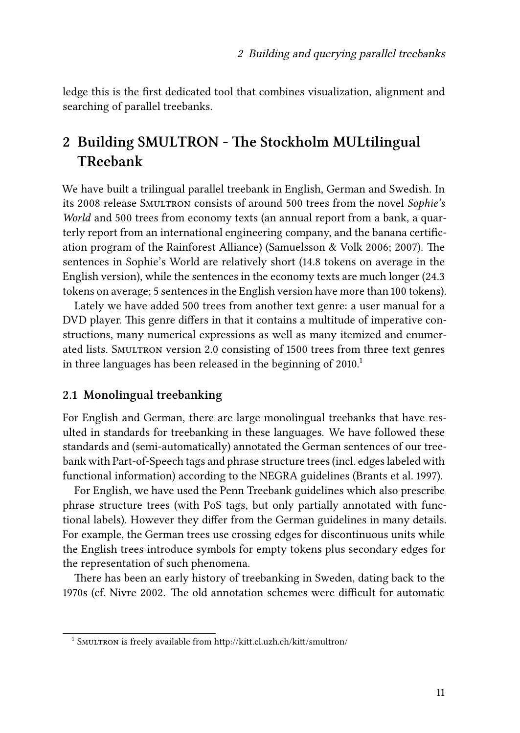ledge this is the first dedicated tool that combines visualization, alignment and searching of parallel treebanks.

# **2 Building SMULTRON - The Stockholm MULtilingual TReebank**

We have built a trilingual parallel treebank in English, German and Swedish. In its 2008 release Smultron consists of around 500 trees from the novel *Sophie's World* and 500 trees from economy texts (an annual report from a bank, a quarterly report from an international engineering company, and the banana certification program of the Rainforest Alliance) [\(Samuelsson & Volk 2006](#page-24-2); [2007\)](#page-25-0). The sentences in Sophie's World are relatively short (14.8 tokens on average in the English version), while the sentences in the economy texts are much longer (24.3 tokens on average; 5 sentences in the English version have more than 100 tokens).

Lately we have added 500 trees from another text genre: a user manual for a DVD player. This genre differs in that it contains a multitude of imperative constructions, many numerical expressions as well as many itemized and enumerated lists. SMULTRON version 2.0 consisting of 1500 trees from three text genres in three languages has been released in the beginning of  $2010<sup>1</sup>$ 

#### **2.1 Monolingual treebanking**

For English and German, there are large monolingual treebanks that have resulted in standards for treebanking in these languages. We have followed these standards and (semi-automatically) annotated the German sentences of our treebank with Part-of-Speech tags and phrase structure trees (incl. edges labeled with functional information) according to the NEGRA guidelines [\(Brants et al. 1997](#page-23-3)).

For English, we have used the Penn Treebank guidelines which also prescribe phrase structure trees (with PoS tags, but only partially annotated with functional labels). However they differ from the German guidelines in many details. For example, the German trees use crossing edges for discontinuous units while the English trees introduce symbols for empty tokens plus secondary edges for the representation of such phenomena.

There has been an early history of treebanking in Sweden, dating back to the 1970s (cf. [Nivre 2002](#page-24-3). The old annotation schemes were difficult for automatic

<sup>&</sup>lt;sup>1</sup> SMULTRON is freely available from http://kitt.cl.uzh.ch/kitt/smultron/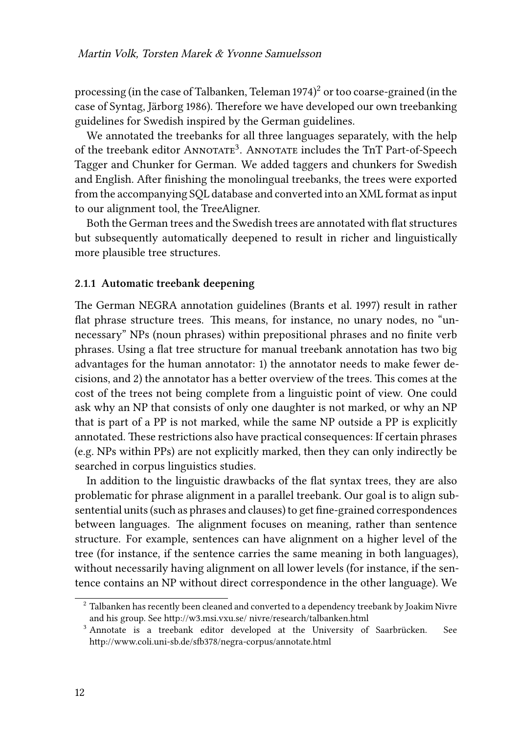processing (in the case of Talbanken, [Teleman 1974](#page-25-1)) $^2$  or too coarse-grained (in the case of Syntag, [Järborg 1986\)](#page-23-4). Therefore we have developed our own treebanking guidelines for Swedish inspired by the German guidelines.

We annotated the treebanks for all three languages separately, with the help of the treebank editor ANNOTATE<sup>3</sup>. ANNOTATE includes the TnT Part-of-Speech Tagger and Chunker for German. We added taggers and chunkers for Swedish and English. After finishing the monolingual treebanks, the trees were exported from the accompanying SQL database and converted into an XML format as input to our alignment tool, the TreeAligner.

Both the German trees and the Swedish trees are annotated with flat structures but subsequently automatically deepened to result in richer and linguistically more plausible tree structures.

#### **2.1.1 Automatic treebank deepening**

The German NEGRA annotation guidelines([Brants et al. 1997\)](#page-23-3) result in rather flat phrase structure trees. This means, for instance, no unary nodes, no "unnecessary" NPs (noun phrases) within prepositional phrases and no finite verb phrases. Using a flat tree structure for manual treebank annotation has two big advantages for the human annotator: 1) the annotator needs to make fewer decisions, and 2) the annotator has a better overview of the trees. This comes at the cost of the trees not being complete from a linguistic point of view. One could ask why an NP that consists of only one daughter is not marked, or why an NP that is part of a PP is not marked, while the same NP outside a PP is explicitly annotated. These restrictions also have practical consequences: If certain phrases (e.g. NPs within PPs) are not explicitly marked, then they can only indirectly be searched in corpus linguistics studies.

In addition to the linguistic drawbacks of the flat syntax trees, they are also problematic for phrase alignment in a parallel treebank. Our goal is to align subsentential units (such as phrases and clauses) to get fine-grained correspondences between languages. The alignment focuses on meaning, rather than sentence structure. For example, sentences can have alignment on a higher level of the tree (for instance, if the sentence carries the same meaning in both languages), without necessarily having alignment on all lower levels (for instance, if the sentence contains an NP without direct correspondence in the other language). We

<sup>&</sup>lt;sup>2</sup> Talbanken has recently been cleaned and converted to a dependency treebank by Joakim Nivre and his group. See http://w3.msi.vxu.se/ nivre/research/talbanken.html

<sup>&</sup>lt;sup>3</sup> Annotate is a treebank editor developed at the University of Saarbrücken. See http://www.coli.uni-sb.de/sfb378/negra-corpus/annotate.html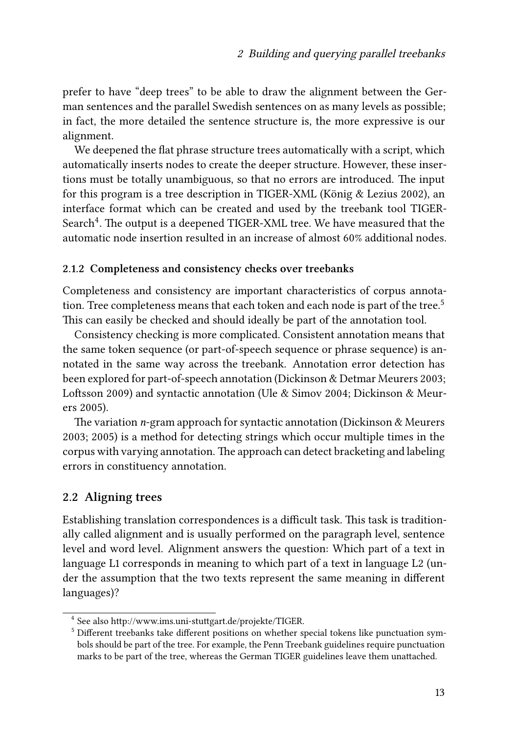prefer to have "deep trees" to be able to draw the alignment between the German sentences and the parallel Swedish sentences on as many levels as possible; in fact, the more detailed the sentence structure is, the more expressive is our alignment.

We deepened the flat phrase structure trees automatically with a script, which automatically inserts nodes to create the deeper structure. However, these insertions must be totally unambiguous, so that no errors are introduced. The input for this program is a tree description in TIGER-XML([König & Lezius 2002\)](#page-23-5), an interface format which can be created and used by the treebank tool TIGER-Search $\rm ^4.$  The output is a deepened TIGER-XML tree. We have measured that the automatic node insertion resulted in an increase of almost 60% additional nodes.

#### **2.1.2 Completeness and consistency checks over treebanks**

Completeness and consistency are important characteristics of corpus annotation. Tree completeness means that each token and each node is part of the tree.<sup>5</sup> This can easily be checked and should ideally be part of the annotation tool.

Consistency checking is more complicated. Consistent annotation means that the same token sequence (or part-of-speech sequence or phrase sequence) is annotated in the same way across the treebank. Annotation error detection has been explored for part-of-speech annotation([Dickinson & Detmar Meurers 2003;](#page-23-6) [Loftsson 2009\)](#page-24-4) and syntactic annotation [\(Ule & Simov 2004;](#page-25-2) [Dickinson & Meur](#page-23-7)[ers 2005\)](#page-23-7).

The variation *n*-gram approach for syntactic annotation [\(Dickinson & Meurers](#page-23-8) [2003](#page-23-8); [2005\)](#page-23-7) is a method for detecting strings which occur multiple times in the corpus with varying annotation. The approach can detect bracketing and labeling errors in constituency annotation.

#### **2.2 Aligning trees**

Establishing translation correspondences is a difficult task. This task is traditionally called alignment and is usually performed on the paragraph level, sentence level and word level. Alignment answers the question: Which part of a text in language L1 corresponds in meaning to which part of a text in language L2 (under the assumption that the two texts represent the same meaning in different languages)?

<sup>4</sup> See also http://www.ims.uni-stuttgart.de/projekte/TIGER.

<sup>&</sup>lt;sup>5</sup> Different treebanks take different positions on whether special tokens like punctuation symbols should be part of the tree. For example, the Penn Treebank guidelines require punctuation marks to be part of the tree, whereas the German TIGER guidelines leave them unattached.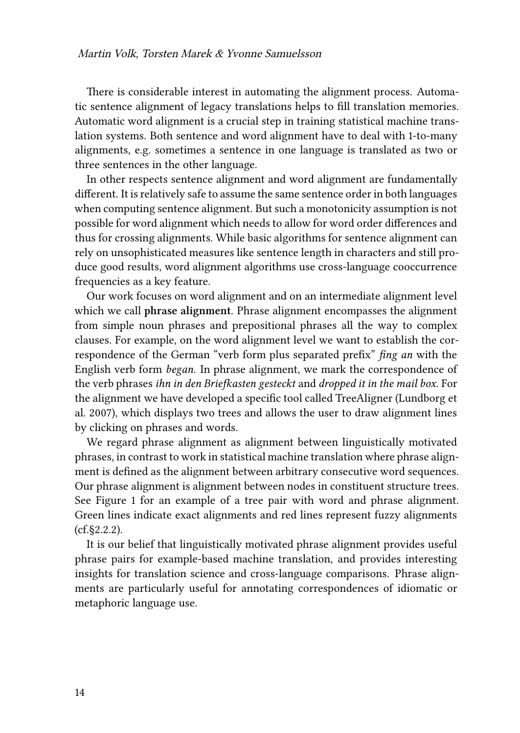There is considerable interest in automating the alignment process. Automatic sentence alignment of legacy translations helps to fill translation memories. Automatic word alignment is a crucial step in training statistical machine translation systems. Both sentence and word alignment have to deal with 1-to-many alignments, e.g. sometimes a sentence in one language is translated as two or three sentences in the other language.

In other respects sentence alignment and word alignment are fundamentally different. It is relatively safe to assume the same sentence order in both languages when computing sentence alignment. But such a monotonicity assumption is not possible for word alignment which needs to allow for word order differences and thus for crossing alignments. While basic algorithms for sentence alignment can rely on unsophisticated measures like sentence length in characters and still produce good results, word alignment algorithms use cross-language cooccurrence frequencies as a key feature.

Our work focuses on word alignment and on an intermediate alignment level which we call **phrase alignment**. Phrase alignment encompasses the alignment from simple noun phrases and prepositional phrases all the way to complex clauses. For example, on the word alignment level we want to establish the correspondence of the German "verb form plus separated prefix" *fing an* with the English verb form *began*. In phrase alignment, we mark the correspondence of the verb phrases *ihn in den Briefkasten gesteckt* and *dropped it in the mail box*. For the alignment we have developed a specific tool called TreeAligner([Lundborg et](#page-24-5) [al. 2007\)](#page-24-5), which displays two trees and allows the user to draw alignment lines by clicking on phrases and words.

We regard phrase alignment as alignment between linguistically motivated phrases, in contrast to work in statistical machine translation where phrase alignment is defined as the alignment between arbitrary consecutive word sequences. Our phrase alignment is alignment between nodes in constituent structure trees. See Figure [1](#page-7-0) for an example of a tree pair with word and phrase alignment. Green lines indicate exact alignments and red lines represent fuzzy alignments (cf.§[2.2.2](#page-6-0)).

It is our belief that linguistically motivated phrase alignment provides useful phrase pairs for example-based machine translation, and provides interesting insights for translation science and cross-language comparisons. Phrase alignments are particularly useful for annotating correspondences of idiomatic or metaphoric language use.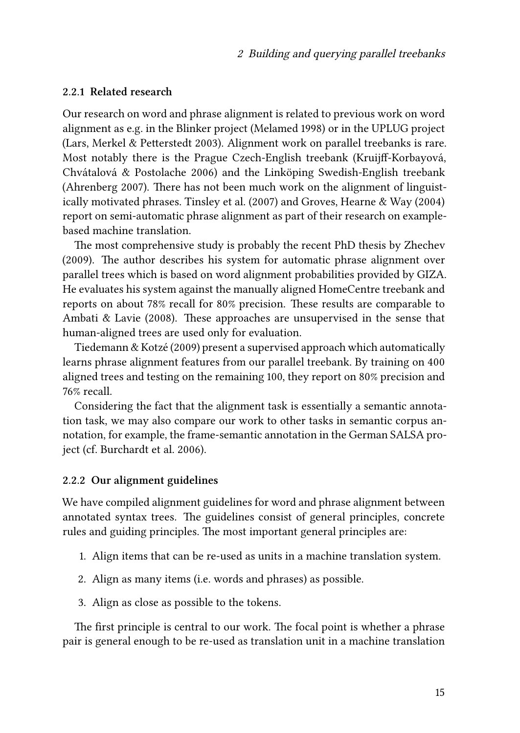#### **2.2.1 Related research**

Our research on word and phrase alignment is related to previous work on word alignment as e.g. in the Blinker project [\(Melamed 1998](#page-24-6)) or in the UPLUG project [\(Lars, Merkel & Petterstedt 2003\)](#page-23-9). Alignment work on parallel treebanks is rare. Most notably there is the Prague Czech-English treebank [\(Kruijff-Korbayová,](#page-23-10) [Chvátalová & Postolache 2006](#page-23-10)) and the Linköping Swedish-English treebank [\(Ahrenberg 2007\)](#page-22-1). There has not been much work on the alignment of linguistically motivated phrases. [Tinsley et al. \(2007\)](#page-25-3) and [Groves, Hearne & Way \(2004\)](#page-23-11) report on semi-automatic phrase alignment as part of their research on examplebased machine translation.

The most comprehensive study is probably the recent PhD thesis by [Zhechev](#page-25-4) [\(2009\)](#page-25-4). The author describes his system for automatic phrase alignment over parallel trees which is based on word alignment probabilities provided by GIZA. He evaluates his system against the manually aligned HomeCentre treebank and reports on about 78% recall for 80% precision. These results are comparable to [Ambati & Lavie \(2008\)](#page-22-2). These approaches are unsupervised in the sense that human-aligned trees are used only for evaluation.

[Tiedemann & Kotzé \(2009\)](#page-25-5) present a supervised approach which automatically learns phrase alignment features from our parallel treebank. By training on 400 aligned trees and testing on the remaining 100, they report on 80% precision and 76% recall.

Considering the fact that the alignment task is essentially a semantic annotation task, we may also compare our work to other tasks in semantic corpus annotation, for example, the frame-semantic annotation in the German SALSA project (cf. [Burchardt et al. 2006\)](#page-23-12).

#### <span id="page-6-0"></span>**2.2.2 Our alignment guidelines**

We have compiled alignment guidelines for word and phrase alignment between annotated syntax trees. The guidelines consist of general principles, concrete rules and guiding principles. The most important general principles are:

- 1. Align items that can be re-used as units in a machine translation system.
- 2. Align as many items (i.e. words and phrases) as possible.
- 3. Align as close as possible to the tokens.

The first principle is central to our work. The focal point is whether a phrase pair is general enough to be re-used as translation unit in a machine translation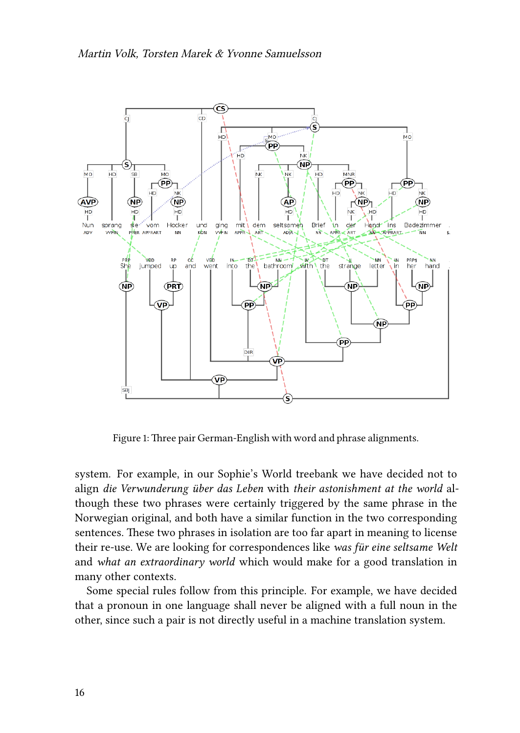<span id="page-7-0"></span>

Figure 1: Three pair German-English with word and phrase alignments.

system. For example, in our Sophie's World treebank we have decided not to align *die Verwunderung über das Leben* with *their astonishment at the world* although these two phrases were certainly triggered by the same phrase in the Norwegian original, and both have a similar function in the two corresponding sentences. These two phrases in isolation are too far apart in meaning to license their re-use. We are looking for correspondences like *was für eine seltsame Welt* and *what an extraordinary world* which would make for a good translation in many other contexts.

Some special rules follow from this principle. For example, we have decided that a pronoun in one language shall never be aligned with a full noun in the other, since such a pair is not directly useful in a machine translation system.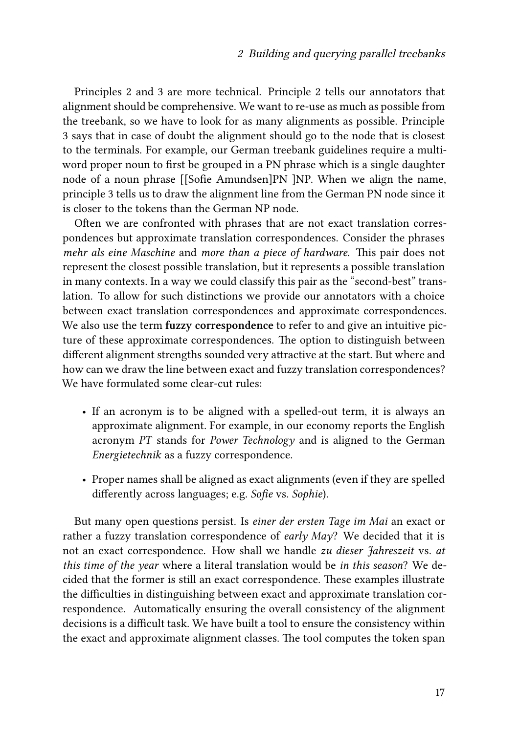Principles 2 and 3 are more technical. Principle 2 tells our annotators that alignment should be comprehensive. We want to re-use as much as possible from the treebank, so we have to look for as many alignments as possible. Principle 3 says that in case of doubt the alignment should go to the node that is closest to the terminals. For example, our German treebank guidelines require a multiword proper noun to first be grouped in a PN phrase which is a single daughter node of a noun phrase [[Sofie Amundsen]PN ]NP. When we align the name, principle 3 tells us to draw the alignment line from the German PN node since it is closer to the tokens than the German NP node.

Often we are confronted with phrases that are not exact translation correspondences but approximate translation correspondences. Consider the phrases *mehr als eine Maschine* and *more than a piece of hardware*. This pair does not represent the closest possible translation, but it represents a possible translation in many contexts. In a way we could classify this pair as the "second-best" translation. To allow for such distinctions we provide our annotators with a choice between exact translation correspondences and approximate correspondences. We also use the term **fuzzy correspondence** to refer to and give an intuitive picture of these approximate correspondences. The option to distinguish between different alignment strengths sounded very attractive at the start. But where and how can we draw the line between exact and fuzzy translation correspondences? We have formulated some clear-cut rules:

- If an acronym is to be aligned with a spelled-out term, it is always an approximate alignment. For example, in our economy reports the English acronym *PT* stands for *Power Technology* and is aligned to the German *Energietechnik* as a fuzzy correspondence.
- Proper names shall be aligned as exact alignments (even if they are spelled differently across languages; e.g. *Sofie* vs. *Sophie*).

But many open questions persist. Is *einer der ersten Tage im Mai* an exact or rather a fuzzy translation correspondence of *early May*? We decided that it is not an exact correspondence. How shall we handle *zu dieser Jahreszeit* vs. *at this time of the year* where a literal translation would be *in this season*? We decided that the former is still an exact correspondence. These examples illustrate the difficulties in distinguishing between exact and approximate translation correspondence. Automatically ensuring the overall consistency of the alignment decisions is a difficult task. We have built a tool to ensure the consistency within the exact and approximate alignment classes. The tool computes the token span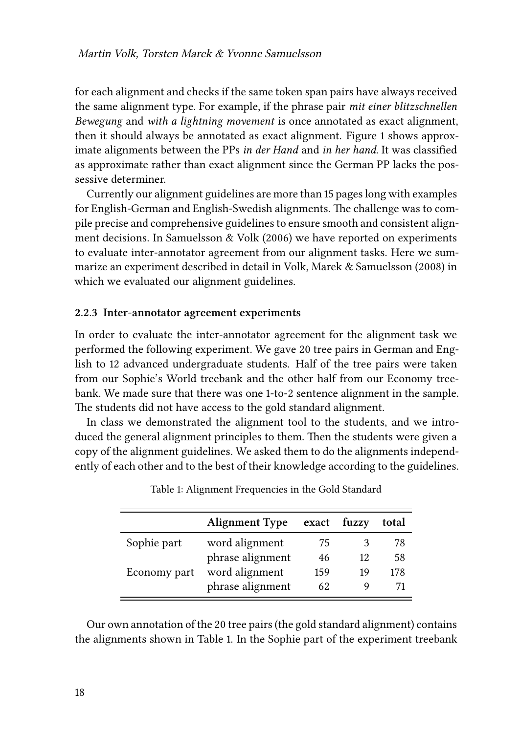for each alignment and checks if the same token span pairs have always received the same alignment type. For example, if the phrase pair *mit einer blitzschnellen Bewegung* and *with a lightning movement* is once annotated as exact alignment, then it should always be annotated as exact alignment. Figure [1](#page-7-0) shows approximate alignments between the PPs *in der Hand* and *in her hand*. It was classified as approximate rather than exact alignment since the German PP lacks the possessive determiner.

Currently our alignment guidelines are more than 15 pages long with examples for English-German and English-Swedish alignments. The challenge was to compile precise and comprehensive guidelines to ensure smooth and consistent alignment decisions. In [Samuelsson & Volk \(2006\)](#page-24-2) we have reported on experiments to evaluate inter-annotator agreement from our alignment tasks. Here we summarize an experiment described in detail in [Volk, Marek & Samuelsson \(2008\)](#page-25-6) in which we evaluated our alignment guidelines.

#### **2.2.3 Inter-annotator agreement experiments**

In order to evaluate the inter-annotator agreement for the alignment task we performed the following experiment. We gave 20 tree pairs in German and English to 12 advanced undergraduate students. Half of the tree pairs were taken from our Sophie's World treebank and the other half from our Economy treebank. We made sure that there was one 1-to-2 sentence alignment in the sample. The students did not have access to the gold standard alignment.

In class we demonstrated the alignment tool to the students, and we introduced the general alignment principles to them. Then the students were given a copy of the alignment guidelines. We asked them to do the alignments independently of each other and to the best of their knowledge according to the guidelines.

<span id="page-9-0"></span>

|              | <b>Alignment Type</b> |     | exact fuzzy | total |
|--------------|-----------------------|-----|-------------|-------|
| Sophie part  | word alignment        | 75  | 3           | 78    |
|              | phrase alignment      | 46  | 12          | 58    |
| Economy part | word alignment        | 159 | 19          | 178   |
|              | phrase alignment      | 62  |             | 71    |

Table 1: Alignment Frequencies in the Gold Standard

Our own annotation of the 20 tree pairs (the gold standard alignment) contains the alignments shown in Table [1.](#page-9-0) In the Sophie part of the experiment treebank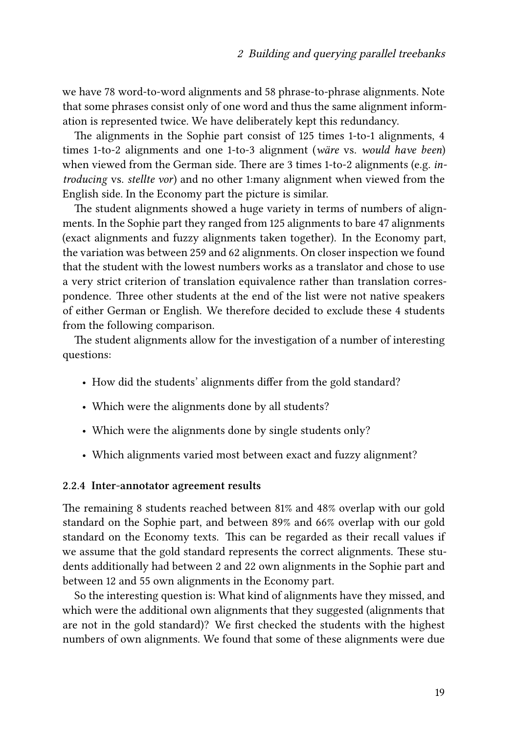we have 78 word-to-word alignments and 58 phrase-to-phrase alignments. Note that some phrases consist only of one word and thus the same alignment information is represented twice. We have deliberately kept this redundancy.

The alignments in the Sophie part consist of 125 times 1-to-1 alignments, 4 times 1-to-2 alignments and one 1-to-3 alignment (*wäre* vs. *would have been*) when viewed from the German side. There are 3 times 1-to-2 alignments (e.g. *introducing* vs. *stellte vor*) and no other 1:many alignment when viewed from the English side. In the Economy part the picture is similar.

The student alignments showed a huge variety in terms of numbers of alignments. In the Sophie part they ranged from 125 alignments to bare 47 alignments (exact alignments and fuzzy alignments taken together). In the Economy part, the variation was between 259 and 62 alignments. On closer inspection we found that the student with the lowest numbers works as a translator and chose to use a very strict criterion of translation equivalence rather than translation correspondence. Three other students at the end of the list were not native speakers of either German or English. We therefore decided to exclude these 4 students from the following comparison.

The student alignments allow for the investigation of a number of interesting questions:

- How did the students' alignments differ from the gold standard?
- Which were the alignments done by all students?
- Which were the alignments done by single students only?
- Which alignments varied most between exact and fuzzy alignment?

#### **2.2.4 Inter-annotator agreement results**

The remaining 8 students reached between 81% and 48% overlap with our gold standard on the Sophie part, and between 89% and 66% overlap with our gold standard on the Economy texts. This can be regarded as their recall values if we assume that the gold standard represents the correct alignments. These students additionally had between 2 and 22 own alignments in the Sophie part and between 12 and 55 own alignments in the Economy part.

So the interesting question is: What kind of alignments have they missed, and which were the additional own alignments that they suggested (alignments that are not in the gold standard)? We first checked the students with the highest numbers of own alignments. We found that some of these alignments were due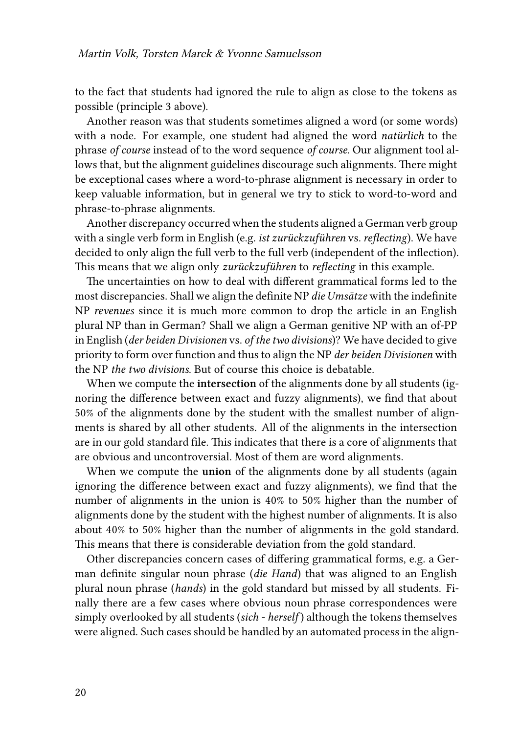to the fact that students had ignored the rule to align as close to the tokens as possible (principle 3 above).

Another reason was that students sometimes aligned a word (or some words) with a node. For example, one student had aligned the word *natürlich* to the phrase *of course* instead of to the word sequence *of course*. Our alignment tool allows that, but the alignment guidelines discourage such alignments. There might be exceptional cases where a word-to-phrase alignment is necessary in order to keep valuable information, but in general we try to stick to word-to-word and phrase-to-phrase alignments.

Another discrepancy occurred when the students aligned a German verb group with a single verb form in English (e.g. *ist zurückzuführen* vs. *reflecting*). We have decided to only align the full verb to the full verb (independent of the inflection). This means that we align only *zurückzuführen* to *reflecting* in this example.

The uncertainties on how to deal with different grammatical forms led to the most discrepancies. Shall we align the definite NP *die Umsätze* with the indefinite NP *revenues* since it is much more common to drop the article in an English plural NP than in German? Shall we align a German genitive NP with an of-PP in English (*der beiden Divisionen* vs. *of the two divisions*)? We have decided to give priority to form over function and thus to align the NP *der beiden Divisionen* with the NP *the two divisions*. But of course this choice is debatable.

When we compute the **intersection** of the alignments done by all students (ignoring the difference between exact and fuzzy alignments), we find that about 50% of the alignments done by the student with the smallest number of alignments is shared by all other students. All of the alignments in the intersection are in our gold standard file. This indicates that there is a core of alignments that are obvious and uncontroversial. Most of them are word alignments.

When we compute the **union** of the alignments done by all students (again ignoring the difference between exact and fuzzy alignments), we find that the number of alignments in the union is 40% to 50% higher than the number of alignments done by the student with the highest number of alignments. It is also about 40% to 50% higher than the number of alignments in the gold standard. This means that there is considerable deviation from the gold standard.

Other discrepancies concern cases of differing grammatical forms, e.g. a German definite singular noun phrase (*die Hand*) that was aligned to an English plural noun phrase (*hands*) in the gold standard but missed by all students. Finally there are a few cases where obvious noun phrase correspondences were simply overlooked by all students (*sich - herself*) although the tokens themselves were aligned. Such cases should be handled by an automated process in the align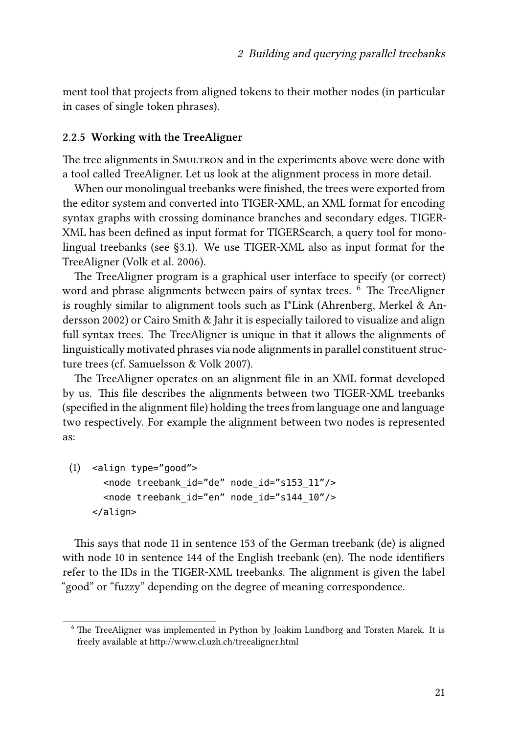ment tool that projects from aligned tokens to their mother nodes (in particular in cases of single token phrases).

#### **2.2.5 Working with the TreeAligner**

The tree alignments in SMULTRON and in the experiments above were done with a tool called TreeAligner. Let us look at the alignment process in more detail.

When our monolingual treebanks were finished, the trees were exported from the editor system and converted into TIGER-XML, an XML format for encoding syntax graphs with crossing dominance branches and secondary edges. TIGER-XML has been defined as input format for TIGERSearch, a query tool for monolingual treebanks (see [§3.1\)](#page-15-0). We use TIGER-XML also as input format for the TreeAligner([Volk et al. 2006](#page-25-7)).

The TreeAligner program is a graphical user interface to specify (or correct) word and phrase alignments between pairs of syntax trees. <sup>6</sup> The TreeAligner is roughly similar to alignment tools such as I\*Link [\(Ahrenberg, Merkel & An](#page-22-3)[dersson 2002\)](#page-22-3) or Cairo [Smith & Jahr](#page-25-8) it is especially tailored to visualize and align full syntax trees. The TreeAligner is unique in that it allows the alignments of linguistically motivated phrases via node alignments in parallel constituent structure trees (cf. [Samuelsson & Volk 2007\)](#page-25-0).

The TreeAligner operates on an alignment file in an XML format developed by us. This file describes the alignments between two TIGER-XML treebanks (specified in the alignment file) holding the trees from language one and language two respectively. For example the alignment between two nodes is represented as:

```
(1) <align type="good">
  <node treebank_id="de" node_id="s153_11"/>
  <node treebank_id="en" node_id="s144_10"/>
</align>
```
This says that node 11 in sentence 153 of the German treebank (de) is aligned with node 10 in sentence 144 of the English treebank (en). The node identifiers refer to the IDs in the TIGER-XML treebanks. The alignment is given the label "good" or "fuzzy" depending on the degree of meaning correspondence.

<sup>&</sup>lt;sup>6</sup> The TreeAligner was implemented in Python by Joakim Lundborg and Torsten Marek. It is freely available at http://www.cl.uzh.ch/treealigner.html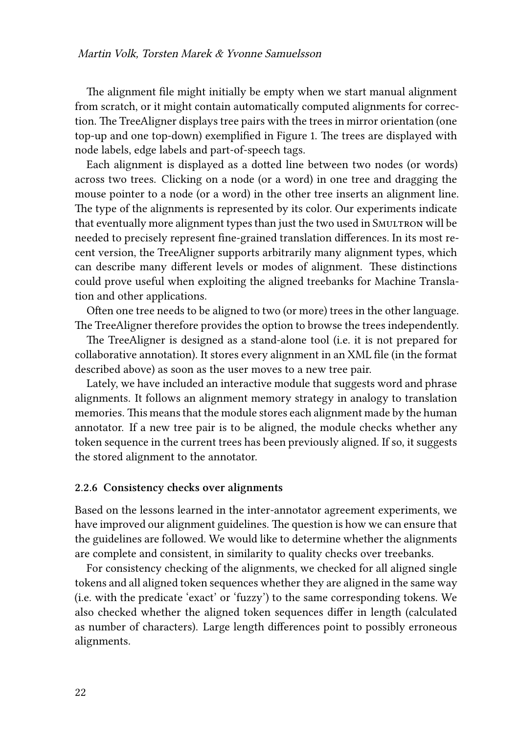The alignment file might initially be empty when we start manual alignment from scratch, or it might contain automatically computed alignments for correction. The TreeAligner displays tree pairs with the trees in mirror orientation (one top-up and one top-down) exemplified in Figure [1.](#page-7-0) The trees are displayed with node labels, edge labels and part-of-speech tags.

Each alignment is displayed as a dotted line between two nodes (or words) across two trees. Clicking on a node (or a word) in one tree and dragging the mouse pointer to a node (or a word) in the other tree inserts an alignment line. The type of the alignments is represented by its color. Our experiments indicate that eventually more alignment types than just the two used in SMULTRON will be needed to precisely represent fine-grained translation differences. In its most recent version, the TreeAligner supports arbitrarily many alignment types, which can describe many different levels or modes of alignment. These distinctions could prove useful when exploiting the aligned treebanks for Machine Translation and other applications.

Often one tree needs to be aligned to two (or more) trees in the other language. The TreeAligner therefore provides the option to browse the trees independently.

The TreeAligner is designed as a stand-alone tool (i.e. it is not prepared for collaborative annotation). It stores every alignment in an XML file (in the format described above) as soon as the user moves to a new tree pair.

Lately, we have included an interactive module that suggests word and phrase alignments. It follows an alignment memory strategy in analogy to translation memories. This means that the module stores each alignment made by the human annotator. If a new tree pair is to be aligned, the module checks whether any token sequence in the current trees has been previously aligned. If so, it suggests the stored alignment to the annotator.

#### **2.2.6 Consistency checks over alignments**

Based on the lessons learned in the inter-annotator agreement experiments, we have improved our alignment guidelines. The question is how we can ensure that the guidelines are followed. We would like to determine whether the alignments are complete and consistent, in similarity to quality checks over treebanks.

For consistency checking of the alignments, we checked for all aligned single tokens and all aligned token sequences whether they are aligned in the same way (i.e. with the predicate 'exact' or 'fuzzy') to the same corresponding tokens. We also checked whether the aligned token sequences differ in length (calculated as number of characters). Large length differences point to possibly erroneous alignments.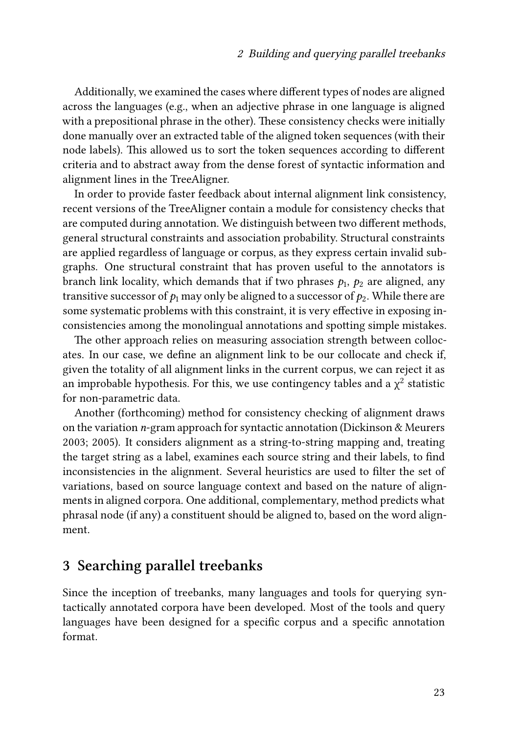Additionally, we examined the cases where different types of nodes are aligned across the languages (e.g., when an adjective phrase in one language is aligned with a prepositional phrase in the other). These consistency checks were initially done manually over an extracted table of the aligned token sequences (with their node labels). This allowed us to sort the token sequences according to different criteria and to abstract away from the dense forest of syntactic information and alignment lines in the TreeAligner.

In order to provide faster feedback about internal alignment link consistency, recent versions of the TreeAligner contain a module for consistency checks that are computed during annotation. We distinguish between two different methods, general structural constraints and association probability. Structural constraints are applied regardless of language or corpus, as they express certain invalid subgraphs. One structural constraint that has proven useful to the annotators is branch link locality, which demands that if two phrases  $p_1,\,p_2$  are aligned, any transitive successor of  $p_1$  may only be aligned to a successor of  $p_2$ . While there are some systematic problems with this constraint, it is very effective in exposing inconsistencies among the monolingual annotations and spotting simple mistakes.

The other approach relies on measuring association strength between collocates. In our case, we define an alignment link to be our collocate and check if, given the totality of all alignment links in the current corpus, we can reject it as an improbable hypothesis. For this, we use contingency tables and a  $\chi^2$  statistic for non-parametric data.

Another (forthcoming) method for consistency checking of alignment draws on the variation *n*-gram approach for syntactic annotation [\(Dickinson & Meurers](#page-23-8) [2003](#page-23-8); [2005](#page-23-7)). It considers alignment as a string-to-string mapping and, treating the target string as a label, examines each source string and their labels, to find inconsistencies in the alignment. Several heuristics are used to filter the set of variations, based on source language context and based on the nature of alignments in aligned corpora. One additional, complementary, method predicts what phrasal node (if any) a constituent should be aligned to, based on the word alignment.

### **3 Searching parallel treebanks**

Since the inception of treebanks, many languages and tools for querying syntactically annotated corpora have been developed. Most of the tools and query languages have been designed for a specific corpus and a specific annotation format.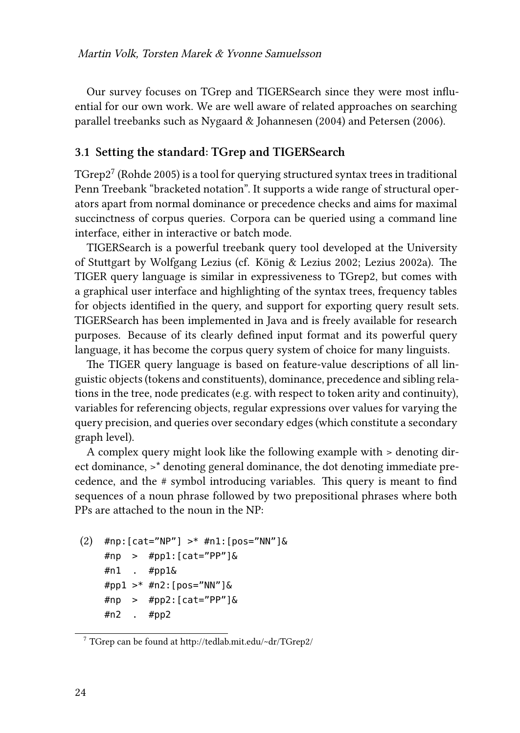Our survey focuses on TGrep and TIGERSearch since they were most influential for our own work. We are well aware of related approaches on searching parallel treebanks such as [Nygaard & Johannesen \(2004\)](#page-24-7) and [Petersen \(2006\).](#page-24-8)

#### <span id="page-15-0"></span>**3.1 Setting the standard: TGrep and TIGERSearch**

 $\mathrm{TGrep2}^7$  [\(Rohde 2005\)](#page-24-9) is a tool for querying structured syntax trees in traditional Penn Treebank "bracketed notation". It supports a wide range of structural operators apart from normal dominance or precedence checks and aims for maximal succinctness of corpus queries. Corpora can be queried using a command line interface, either in interactive or batch mode.

TIGERSearch is a powerful treebank query tool developed at the University of Stuttgart by Wolfgang Lezius (cf. [König & Lezius 2002;](#page-23-5) [Lezius 2002a](#page-24-10)). The TIGER query language is similar in expressiveness to TGrep2, but comes with a graphical user interface and highlighting of the syntax trees, frequency tables for objects identified in the query, and support for exporting query result sets. TIGERSearch has been implemented in Java and is freely available for research purposes. Because of its clearly defined input format and its powerful query language, it has become the corpus query system of choice for many linguists.

The TIGER query language is based on feature-value descriptions of all linguistic objects (tokens and constituents), dominance, precedence and sibling relations in the tree, node predicates (e.g. with respect to token arity and continuity), variables for referencing objects, regular expressions over values for varying the query precision, and queries over secondary edges (which constitute a secondary graph level).

A complex query might look like the following example with > denoting direct dominance, >\* denoting general dominance, the dot denoting immediate precedence, and the # symbol introducing variables. This query is meant to find sequences of a noun phrase followed by two prepositional phrases where both PPs are attached to the noun in the NP:

 $(2)$  #np: [cat="NP"] >\* #n1: [pos="NN"]&  $\#$ np >  $\#$ pp1: [cat="PP"]& #n1 . #pp1& #pp1  $>$  \* #n2: [pos="NN"] & #np > #pp2:[cat="PP"]& #n2 . #pp2

<sup>7</sup> TGrep can be found at http://tedlab.mit.edu/~dr/TGrep2/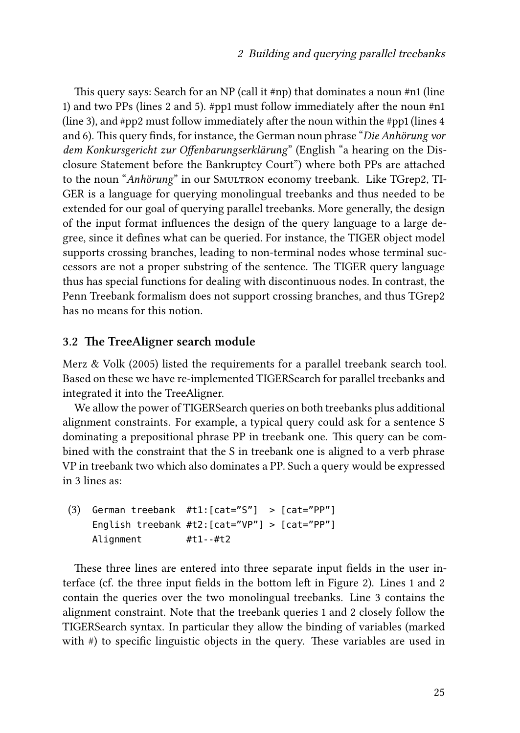This query says: Search for an NP (call it #np) that dominates a noun #n1 (line 1) and two PPs (lines 2 and 5). #pp1 must follow immediately after the noun #n1 (line 3), and #pp2 must follow immediately after the noun within the #pp1 (lines 4 and 6). This query finds, for instance, the German noun phrase "*Die Anhörung vor dem Konkursgericht zur Offenbarungserklärung*" (English "a hearing on the Disclosure Statement before the Bankruptcy Court") where both PPs are attached to the noun "Anhörung" in our SMULTRON economy treebank. Like TGrep2, TI-GER is a language for querying monolingual treebanks and thus needed to be extended for our goal of querying parallel treebanks. More generally, the design of the input format influences the design of the query language to a large degree, since it defines what can be queried. For instance, the TIGER object model supports crossing branches, leading to non-terminal nodes whose terminal successors are not a proper substring of the sentence. The TIGER query language thus has special functions for dealing with discontinuous nodes. In contrast, the Penn Treebank formalism does not support crossing branches, and thus TGrep2 has no means for this notion.

#### **3.2 The TreeAligner search module**

[Merz & Volk \(2005\)](#page-24-11) listed the requirements for a parallel treebank search tool. Based on these we have re-implemented TIGERSearch for parallel treebanks and integrated it into the TreeAligner.

We allow the power of TIGERSearch queries on both treebanks plus additional alignment constraints. For example, a typical query could ask for a sentence S dominating a prepositional phrase PP in treebank one. This query can be combined with the constraint that the S in treebank one is aligned to a verb phrase VP in treebank two which also dominates a PP. Such a query would be expressed in 3 lines as:

(3) German treebank #t1:[cat="S"] > [cat="PP"] English treebank #t2:[cat="VP"] > [cat="PP"] Alignment #t1--#t2

These three lines are entered into three separate input fields in the user interface (cf. the three input fields in the bottom left in Figure [2](#page-17-0)). Lines 1 and 2 contain the queries over the two monolingual treebanks. Line 3 contains the alignment constraint. Note that the treebank queries 1 and 2 closely follow the TIGERSearch syntax. In particular they allow the binding of variables (marked with #) to specific linguistic objects in the query. These variables are used in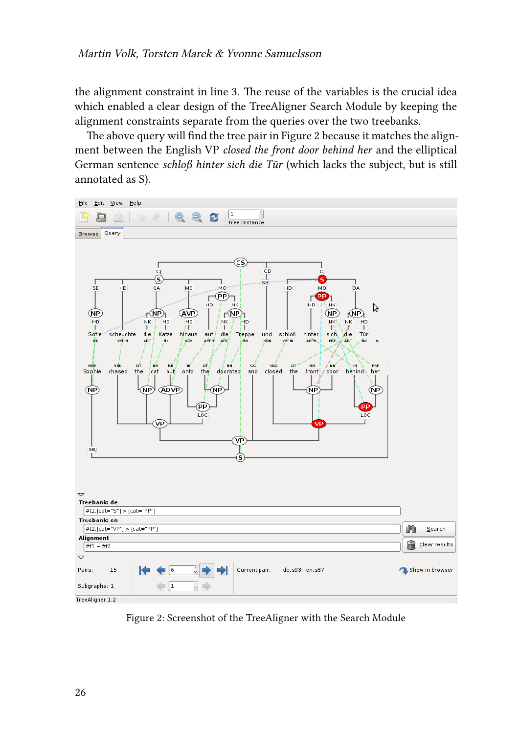the alignment constraint in line 3. The reuse of the variables is the crucial idea which enabled a clear design of the TreeAligner Search Module by keeping the alignment constraints separate from the queries over the two treebanks.

The above query will find the tree pair in Figure [2](#page-17-0) because it matches the alignment between the English VP *closed the front door behind her* and the elliptical German sentence *schloß hinter sich die Tür* (which lacks the subject, but is still annotated as S).

<span id="page-17-0"></span>

Figure 2: Screenshot of the TreeAligner with the Search Module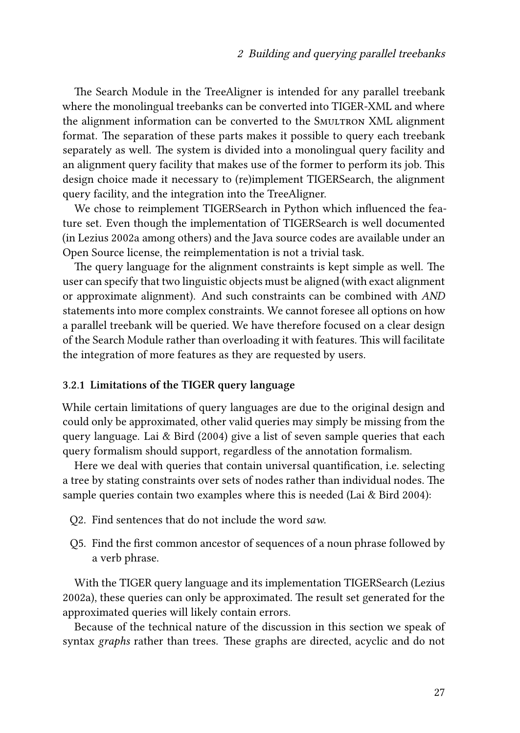The Search Module in the TreeAligner is intended for any parallel treebank where the monolingual treebanks can be converted into TIGER-XML and where the alignment information can be converted to the Smultron XML alignment format. The separation of these parts makes it possible to query each treebank separately as well. The system is divided into a monolingual query facility and an alignment query facility that makes use of the former to perform its job. This design choice made it necessary to (re)implement TIGERSearch, the alignment query facility, and the integration into the TreeAligner.

We chose to reimplement TIGERSearch in Python which influenced the feature set. Even though the implementation of TIGERSearch is well documented (in [Lezius 2002a](#page-24-10) among others) and the Java source codes are available under an Open Source license, the reimplementation is not a trivial task.

The query language for the alignment constraints is kept simple as well. The user can specify that two linguistic objects must be aligned (with exact alignment or approximate alignment). And such constraints can be combined with *AND* statements into more complex constraints. We cannot foresee all options on how a parallel treebank will be queried. We have therefore focused on a clear design of the Search Module rather than overloading it with features. This will facilitate the integration of more features as they are requested by users.

#### **3.2.1 Limitations of the TIGER query language**

While certain limitations of query languages are due to the original design and could only be approximated, other valid queries may simply be missing from the query language. [Lai & Bird \(2004\)](#page-23-13) give a list of seven sample queries that each query formalism should support, regardless of the annotation formalism.

Here we deal with queries that contain universal quantification, i.e. selecting a tree by stating constraints over sets of nodes rather than individual nodes. The sample queries contain two examples where this is needed [\(Lai & Bird 2004](#page-23-13)):

- Q2. Find sentences that do not include the word *saw*.
- Q5. Find the first common ancestor of sequences of a noun phrase followed by a verb phrase.

With the TIGER query language and its implementation TIGERSearch [\(Lezius](#page-24-10) [2002a](#page-24-10)), these queries can only be approximated. The result set generated for the approximated queries will likely contain errors.

Because of the technical nature of the discussion in this section we speak of syntax *graphs* rather than trees. These graphs are directed, acyclic and do not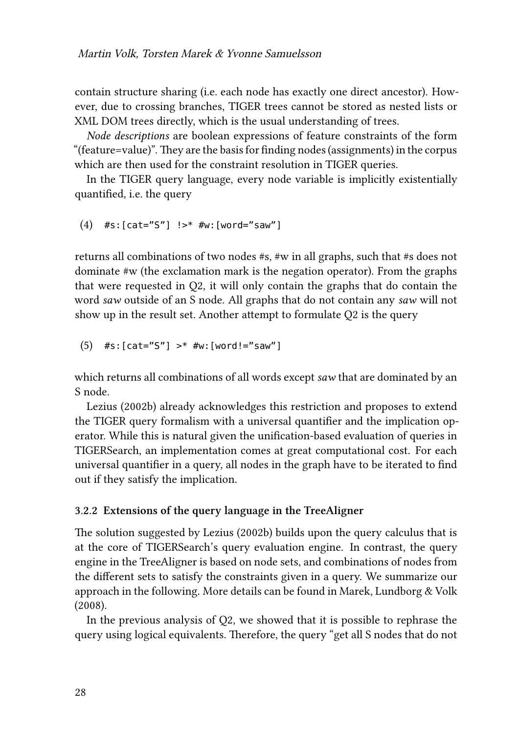contain structure sharing (i.e. each node has exactly one direct ancestor). However, due to crossing branches, TIGER trees cannot be stored as nested lists or XML DOM trees directly, which is the usual understanding of trees.

*Node descriptions* are boolean expressions of feature constraints of the form "(feature=value)". They are the basis for finding nodes (assignments) in the corpus which are then used for the constraint resolution in TIGER queries.

In the TIGER query language, every node variable is implicitly existentially quantified, i.e. the query

(4) 
$$
\#s: [cat="S"] !> \#w: [word="saw"]
$$

returns all combinations of two nodes #s, #w in all graphs, such that #s does not dominate #w (the exclamation mark is the negation operator). From the graphs that were requested in Q2, it will only contain the graphs that do contain the word *saw* outside of an S node. All graphs that do not contain any *saw* will not show up in the result set. Another attempt to formulate Q2 is the query

```
(5) #s: [cat="S"] >* #w: [word!="saw"]
```
which returns all combinations of all words except *saw* that are dominated by an S node.

[Lezius \(2002b\)](#page-24-12) already acknowledges this restriction and proposes to extend the TIGER query formalism with a universal quantifier and the implication operator. While this is natural given the unification-based evaluation of queries in TIGERSearch, an implementation comes at great computational cost. For each universal quantifier in a query, all nodes in the graph have to be iterated to find out if they satisfy the implication.

#### **3.2.2 Extensions of the query language in the TreeAligner**

The solution suggested by [Lezius \(2002b\)](#page-24-12) builds upon the query calculus that is at the core of TIGERSearch's query evaluation engine. In contrast, the query engine in the TreeAligner is based on node sets, and combinations of nodes from the different sets to satisfy the constraints given in a query. We summarize our approach in the following. More details can be found in [Marek, Lundborg & Volk](#page-24-13) [\(2008\).](#page-24-13)

In the previous analysis of Q2, we showed that it is possible to rephrase the query using logical equivalents. Therefore, the query "get all S nodes that do not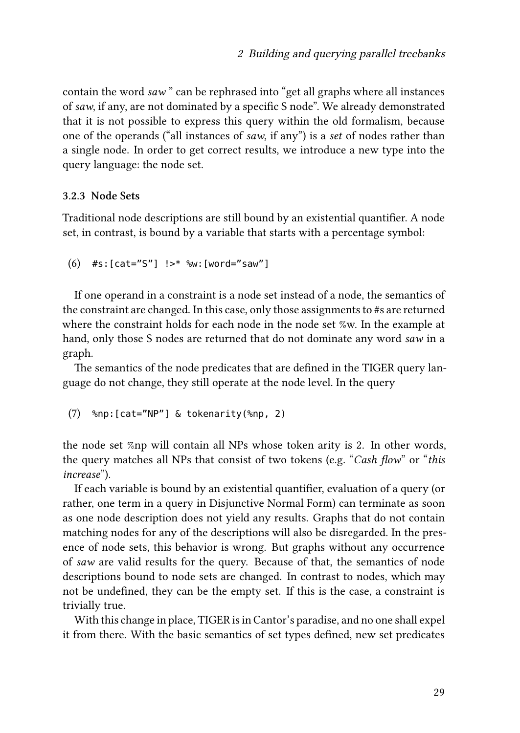contain the word *saw* " can be rephrased into "get all graphs where all instances of *saw*, if any, are not dominated by a specific S node". We already demonstrated that it is not possible to express this query within the old formalism, because one of the operands ("all instances of *saw*, if any") is a *set* of nodes rather than a single node. In order to get correct results, we introduce a new type into the query language: the node set.

#### **3.2.3 Node Sets**

Traditional node descriptions are still bound by an existential quantifier. A node set, in contrast, is bound by a variable that starts with a percentage symbol:

```
(6) #s:[cat="S"] !>* %w:[word="saw"]
```
If one operand in a constraint is a node set instead of a node, the semantics of the constraint are changed. In this case, only those assignments to #s are returned where the constraint holds for each node in the node set %w. In the example at hand, only those S nodes are returned that do not dominate any word *saw* in a graph.

The semantics of the node predicates that are defined in the TIGER query language do not change, they still operate at the node level. In the query

```
(7) %np:[cat="NP"] & tokenarity(%np, 2)
```
the node set %np will contain all NPs whose token arity is 2. In other words, the query matches all NPs that consist of two tokens (e.g. "*Cash flow*" or "*this increase*").

If each variable is bound by an existential quantifier, evaluation of a query (or rather, one term in a query in Disjunctive Normal Form) can terminate as soon as one node description does not yield any results. Graphs that do not contain matching nodes for any of the descriptions will also be disregarded. In the presence of node sets, this behavior is wrong. But graphs without any occurrence of *saw* are valid results for the query. Because of that, the semantics of node descriptions bound to node sets are changed. In contrast to nodes, which may not be undefined, they can be the empty set. If this is the case, a constraint is trivially true.

With this change in place, TIGER is in Cantor's paradise, and no one shall expel it from there. With the basic semantics of set types defined, new set predicates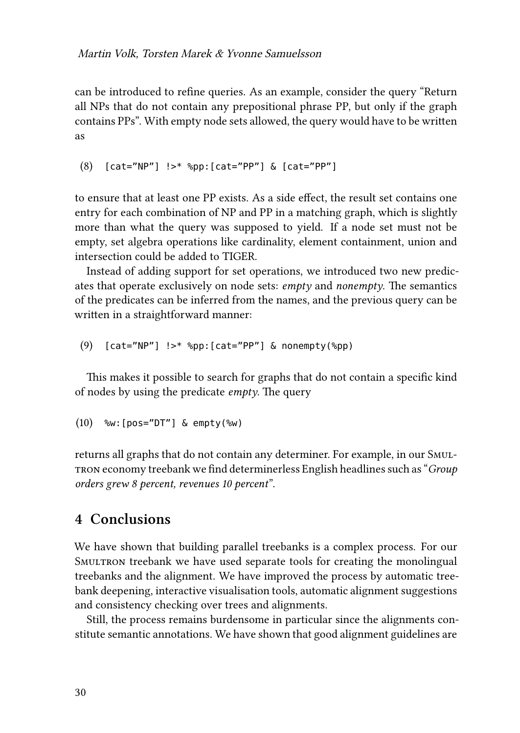can be introduced to refine queries. As an example, consider the query "Return all NPs that do not contain any prepositional phrase PP, but only if the graph contains PPs". With empty node sets allowed, the query would have to be written as

```
(8) [cat="NP"] !>* %pp:[cat="PP"] & [cat="PP"]
```
to ensure that at least one PP exists. As a side effect, the result set contains one entry for each combination of NP and PP in a matching graph, which is slightly more than what the query was supposed to yield. If a node set must not be empty, set algebra operations like cardinality, element containment, union and intersection could be added to TIGER.

Instead of adding support for set operations, we introduced two new predicates that operate exclusively on node sets: *empty* and *nonempty*. The semantics of the predicates can be inferred from the names, and the previous query can be written in a straightforward manner:

(9) [cat="NP"] !>\* %pp:[cat="PP"] & nonempty(%pp)

This makes it possible to search for graphs that do not contain a specific kind of nodes by using the predicate *empty*. The query

```
(10) %w:[pos="DT"] & empty(%w)
```
returns all graphs that do not contain any determiner. For example, in our Smultron economy treebank we find determinerless English headlines such as "*Group orders grew 8 percent, revenues 10 percent*".

### **4 Conclusions**

We have shown that building parallel treebanks is a complex process. For our Smultron treebank we have used separate tools for creating the monolingual treebanks and the alignment. We have improved the process by automatic treebank deepening, interactive visualisation tools, automatic alignment suggestions and consistency checking over trees and alignments.

Still, the process remains burdensome in particular since the alignments constitute semantic annotations. We have shown that good alignment guidelines are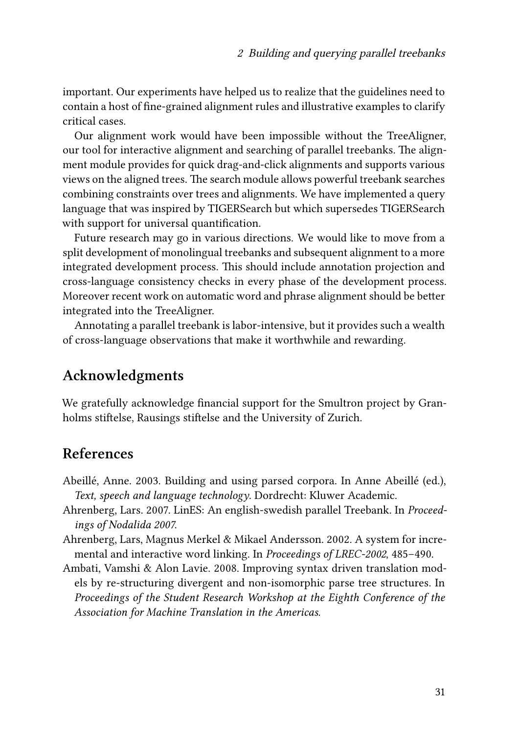important. Our experiments have helped us to realize that the guidelines need to contain a host of fine-grained alignment rules and illustrative examples to clarify critical cases.

Our alignment work would have been impossible without the TreeAligner, our tool for interactive alignment and searching of parallel treebanks. The alignment module provides for quick drag-and-click alignments and supports various views on the aligned trees. The search module allows powerful treebank searches combining constraints over trees and alignments. We have implemented a query language that was inspired by TIGERSearch but which supersedes TIGERSearch with support for universal quantification.

Future research may go in various directions. We would like to move from a split development of monolingual treebanks and subsequent alignment to a more integrated development process. This should include annotation projection and cross-language consistency checks in every phase of the development process. Moreover recent work on automatic word and phrase alignment should be better integrated into the TreeAligner.

Annotating a parallel treebank is labor-intensive, but it provides such a wealth of cross-language observations that make it worthwhile and rewarding.

### **Acknowledgments**

We gratefully acknowledge financial support for the Smultron project by Granholms stiftelse, Rausings stiftelse and the University of Zurich.

### **References**

- <span id="page-22-0"></span>Abeillé, Anne. 2003. Building and using parsed corpora. In Anne Abeillé (ed.), *Text, speech and language technology*. Dordrecht: Kluwer Academic.
- <span id="page-22-1"></span>Ahrenberg, Lars. 2007. LinES: An english-swedish parallel Treebank. In *Proceedings of Nodalida 2007*.
- <span id="page-22-3"></span>Ahrenberg, Lars, Magnus Merkel & Mikael Andersson. 2002. A system for incremental and interactive word linking. In *Proceedings of LREC-2002*, 485–490.
- <span id="page-22-2"></span>Ambati, Vamshi & Alon Lavie. 2008. Improving syntax driven translation models by re-structuring divergent and non-isomorphic parse tree structures. In *Proceedings of the Student Research Workshop at the Eighth Conference of the Association for Machine Translation in the Americas*.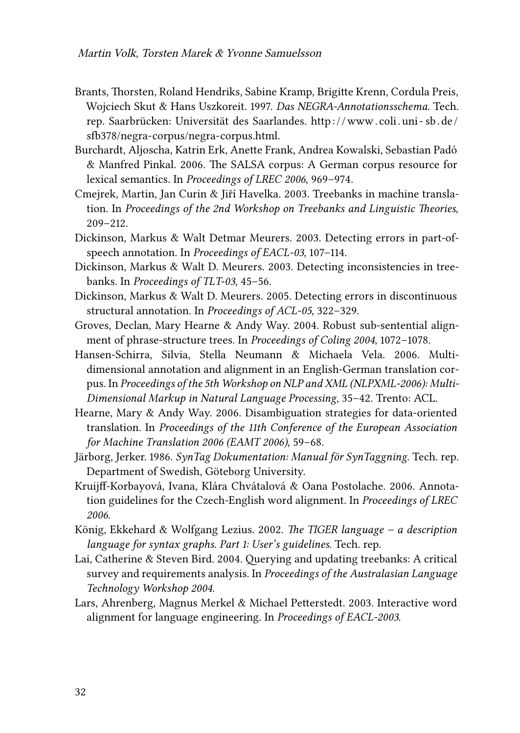- <span id="page-23-3"></span>Brants, Thorsten, Roland Hendriks, Sabine Kramp, Brigitte Krenn, Cordula Preis, Wojciech Skut & Hans Uszkoreit. 1997. *Das NEGRA-Annotationsschema*. Tech. rep. Saarbrücken: Universität des Saarlandes. [http : / / www . coli . uni - sb . de /](http://www.coli.uni-sb.de/sfb378/negra-corpus/negra-corpus.html) [sfb378/negra-corpus/negra-corpus.html](http://www.coli.uni-sb.de/sfb378/negra-corpus/negra-corpus.html).
- <span id="page-23-12"></span>Burchardt, Aljoscha, Katrin Erk, Anette Frank, Andrea Kowalski, Sebastian Padó & Manfred Pinkal. 2006. The SALSA corpus: A German corpus resource for lexical semantics. In *Proceedings of LREC 2006*, 969–974.
- <span id="page-23-0"></span>Cmejrek, Martin, Jan Curin & Jiří Havelka. 2003. Treebanks in machine translation. In *Proceedings of the 2nd Workshop on Treebanks and Linguistic Theories*, 209–212.
- <span id="page-23-6"></span>Dickinson, Markus & Walt Detmar Meurers. 2003. Detecting errors in part-ofspeech annotation. In *Proceedings of EACL-03*, 107–114.
- <span id="page-23-8"></span>Dickinson, Markus & Walt D. Meurers. 2003. Detecting inconsistencies in treebanks. In *Proceedings of TLT-03*, 45–56.
- <span id="page-23-7"></span>Dickinson, Markus & Walt D. Meurers. 2005. Detecting errors in discontinuous structural annotation. In *Proceedings of ACL-05*, 322–329.
- <span id="page-23-11"></span>Groves, Declan, Mary Hearne & Andy Way. 2004. Robust sub-sentential alignment of phrase-structure trees. In *Proceedings of Coling 2004*, 1072–1078.
- <span id="page-23-1"></span>Hansen-Schirra, Silvia, Stella Neumann & Michaela Vela. 2006. Multidimensional annotation and alignment in an English-German translation corpus. In *Proceedings of the 5th Workshop on NLP and XML (NLPXML-2006): Multi-Dimensional Markup in Natural Language Processing*, 35–42. Trento: ACL.
- <span id="page-23-2"></span>Hearne, Mary & Andy Way. 2006. Disambiguation strategies for data-oriented translation. In *Proceedings of the 11th Conference of the European Association for Machine Translation 2006 (EAMT 2006)*, 59–68.
- <span id="page-23-4"></span>Järborg, Jerker. 1986. *SynTag Dokumentation: Manual för SynTaggning*. Tech. rep. Department of Swedish, Göteborg University.
- <span id="page-23-10"></span>Kruijff-Korbayová, Ivana, Klára Chvátalová & Oana Postolache. 2006. Annotation guidelines for the Czech-English word alignment. In *Proceedings of LREC 2006*.
- <span id="page-23-5"></span>König, Ekkehard & Wolfgang Lezius. 2002. *The TIGER language – a description language for syntax graphs. Part 1: User's guidelines*. Tech. rep.
- <span id="page-23-13"></span>Lai, Catherine & Steven Bird. 2004. Querying and updating treebanks: A critical survey and requirements analysis. In *Proceedings of the Australasian Language Technology Workshop 2004*.
- <span id="page-23-9"></span>Lars, Ahrenberg, Magnus Merkel & Michael Petterstedt. 2003. Interactive word alignment for language engineering. In *Proceedings of EACL-2003*.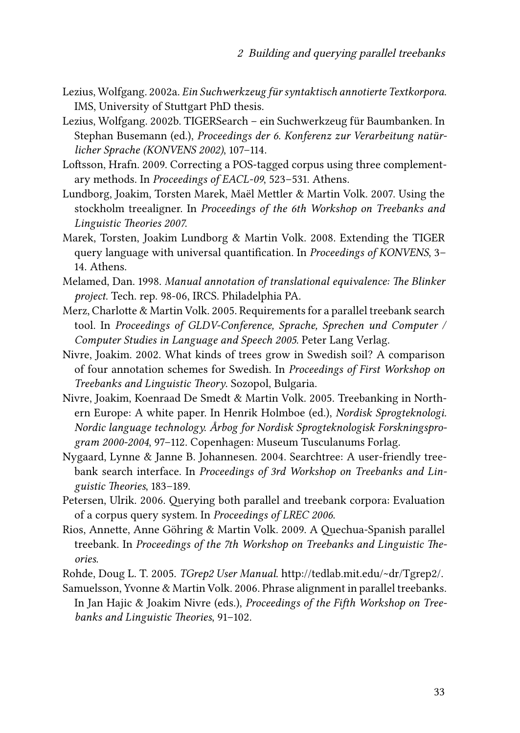- <span id="page-24-10"></span>Lezius, Wolfgang. 2002a. *Ein Suchwerkzeug für syntaktisch annotierte Textkorpora*. IMS, University of Stuttgart PhD thesis.
- <span id="page-24-12"></span>Lezius, Wolfgang. 2002b. TIGERSearch – ein Suchwerkzeug für Baumbanken. In Stephan Busemann (ed.), *Proceedings der 6. Konferenz zur Verarbeitung natürlicher Sprache (KONVENS 2002)*, 107–114.
- <span id="page-24-4"></span>Loftsson, Hrafn. 2009. Correcting a POS-tagged corpus using three complementary methods. In *Proceedings of EACL-09*, 523–531. Athens.
- <span id="page-24-5"></span>Lundborg, Joakim, Torsten Marek, Maël Mettler & Martin Volk. 2007. Using the stockholm treealigner. In *Proceedings of the 6th Workshop on Treebanks and Linguistic Theories 2007*.
- <span id="page-24-13"></span>Marek, Torsten, Joakim Lundborg & Martin Volk. 2008. Extending the TIGER query language with universal quantification. In *Proceedings of KONVENS*, 3– 14. Athens.
- <span id="page-24-6"></span>Melamed, Dan. 1998. *Manual annotation of translational equivalence: The Blinker project*. Tech. rep. 98-06, IRCS. Philadelphia PA.
- <span id="page-24-11"></span>Merz, Charlotte & Martin Volk. 2005. Requirements for a parallel treebank search tool. In *Proceedings of GLDV-Conference, Sprache, Sprechen und Computer / Computer Studies in Language and Speech 2005*. Peter Lang Verlag.
- <span id="page-24-3"></span>Nivre, Joakim. 2002. What kinds of trees grow in Swedish soil? A comparison of four annotation schemes for Swedish. In *Proceedings of First Workshop on Treebanks and Linguistic Theory*. Sozopol, Bulgaria.
- <span id="page-24-0"></span>Nivre, Joakim, Koenraad De Smedt & Martin Volk. 2005. Treebanking in Northern Europe: A white paper. In Henrik Holmboe (ed.), *Nordisk Sprogteknologi. Nordic language technology. Årbog for Nordisk Sprogteknologisk Forskningsprogram 2000-2004*, 97–112. Copenhagen: Museum Tusculanums Forlag.
- <span id="page-24-7"></span>Nygaard, Lynne & Janne B. Johannesen. 2004. Searchtree: A user-friendly treebank search interface. In *Proceedings of 3rd Workshop on Treebanks and Linguistic Theories*, 183–189.
- <span id="page-24-8"></span>Petersen, Ulrik. 2006. Querying both parallel and treebank corpora: Evaluation of a corpus query system. In *Proceedings of LREC 2006*.
- <span id="page-24-1"></span>Rios, Annette, Anne Göhring & Martin Volk. 2009. A Quechua-Spanish parallel treebank. In *Proceedings of the 7th Workshop on Treebanks and Linguistic Theories*.
- <span id="page-24-9"></span>Rohde, Doug L. T. 2005. *TGrep2 User Manual*. [http://tedlab.mit.edu/~dr/Tgrep2/.](http://tedlab.mit.edu/~dr/Tgrep2/)

<span id="page-24-2"></span>Samuelsson, Yvonne & Martin Volk. 2006. Phrase alignment in parallel treebanks. In Jan Hajic & Joakim Nivre (eds.), *Proceedings of the Fifth Workshop on Treebanks and Linguistic Theories*, 91–102.